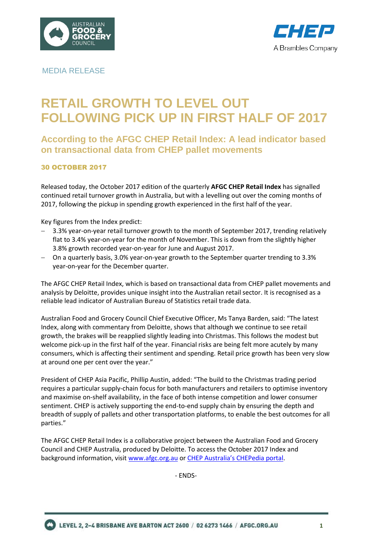



# MEDIA RELEASE

# **RETAIL GROWTH TO LEVEL OUT FOLLOWING PICK UP IN FIRST HALF OF 2017**

# **According to the AFGC CHEP Retail Index: A lead indicator based on transactional data from CHEP pallet movements**

### 30 OCTOBER 2017

Released today, the October 2017 edition of the quarterly **AFGC CHEP Retail Index** has signalled continued retail turnover growth in Australia, but with a levelling out over the coming months of 2017, following the pickup in spending growth experienced in the first half of the year.

Key figures from the Index predict:

- 3.3% year-on-year retail turnover growth to the month of September 2017, trending relatively flat to 3.4% year-on-year for the month of November. This is down from the slightly higher 3.8% growth recorded year-on-year for June and August 2017.
- On a quarterly basis, 3.0% year-on-year growth to the September quarter trending to 3.3% year-on-year for the December quarter.

The AFGC CHEP Retail Index, which is based on transactional data from CHEP pallet movements and analysis by Deloitte, provides unique insight into the Australian retail sector. It is recognised as a reliable lead indicator of Australian Bureau of Statistics retail trade data.

Australian Food and Grocery Council Chief Executive Officer, Ms Tanya Barden, said: "The latest Index, along with commentary from Deloitte, shows that although we continue to see retail growth, the brakes will be reapplied slightly leading into Christmas. This follows the modest but welcome pick-up in the first half of the year. Financial risks are being felt more acutely by many consumers, which is affecting their sentiment and spending. Retail price growth has been very slow at around one per cent over the year."

President of CHEP Asia Pacific, Phillip Austin, added: "The build to the Christmas trading period requires a particular supply-chain focus for both manufacturers and retailers to optimise inventory and maximise on-shelf availability, in the face of both intense competition and lower consumer sentiment. CHEP is actively supporting the end-to-end supply chain by ensuring the depth and breadth of supply of pallets and other transportation platforms, to enable the best outcomes for all parties."

The AFGC CHEP Retail Index is a collaborative project between the Australian Food and Grocery Council and CHEP Australia, produced by Deloitte. To access the October 2017 Index and background information, visit [www.afgc.org.au](http://www.afgc.org.au/) or [CHEP Australia's CHEPedia portal](https://chepedia.chep.com/vantage/afgc-chep-retail-index/).

- ENDS-